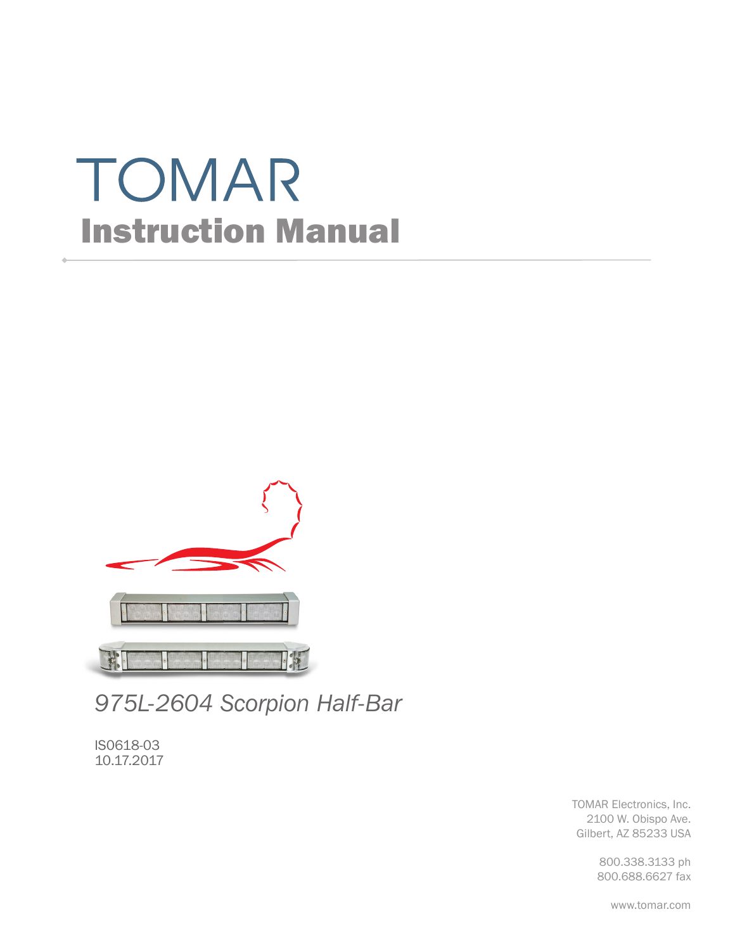# TOMAR Instruction Manual



*975L-2604 Scorpion Half-Bar*

IS0618-03 10.17.2017

> TOMAR Electronics, Inc. 2100 W. Obispo Ave. Gilbert, AZ 85233 USA

> > 800.338.3133 ph 800.688.6627 fax

> > > www.tomar.com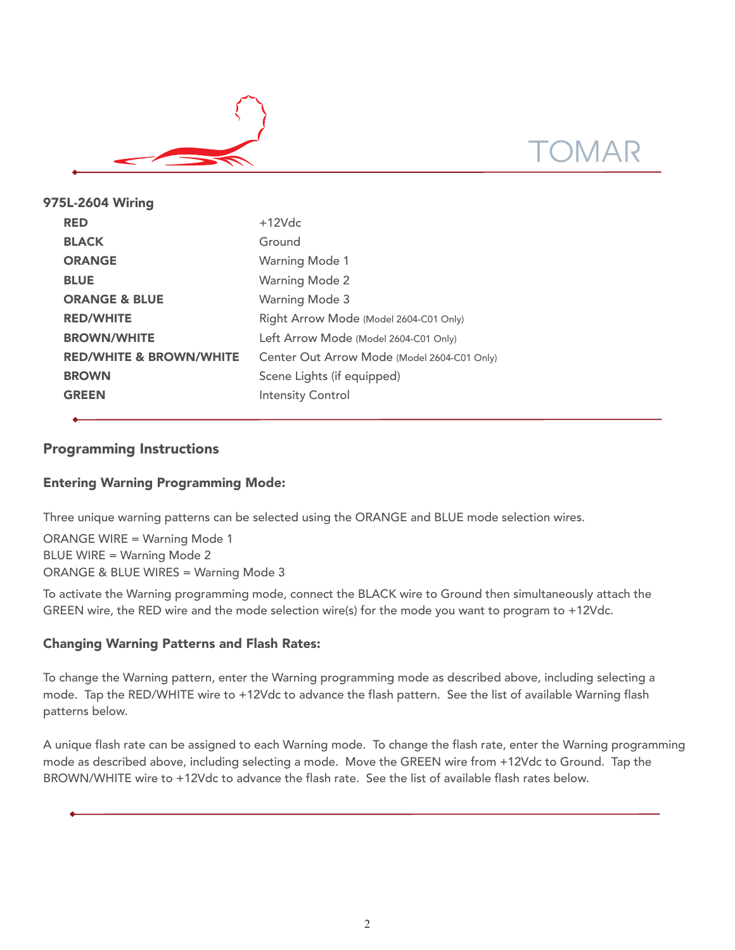

| 975L-2604 Wiring                   |                                             |  |  |  |  |
|------------------------------------|---------------------------------------------|--|--|--|--|
| <b>RED</b>                         | $+12Vdc$                                    |  |  |  |  |
| <b>BLACK</b>                       | Ground                                      |  |  |  |  |
| <b>ORANGE</b>                      | <b>Warning Mode 1</b>                       |  |  |  |  |
| <b>BLUE</b>                        | <b>Warning Mode 2</b>                       |  |  |  |  |
| <b>ORANGE &amp; BLUE</b>           | <b>Warning Mode 3</b>                       |  |  |  |  |
| <b>RED/WHITE</b>                   | Right Arrow Mode (Model 2604-C01 Only)      |  |  |  |  |
| <b>BROWN/WHITE</b>                 | Left Arrow Mode (Model 2604-C01 Only)       |  |  |  |  |
| <b>RED/WHITE &amp; BROWN/WHITE</b> | Center Out Arrow Mode (Model 2604-C01 Only) |  |  |  |  |
| <b>BROWN</b>                       | Scene Lights (if equipped)                  |  |  |  |  |
| <b>GREEN</b>                       | <b>Intensity Control</b>                    |  |  |  |  |
|                                    |                                             |  |  |  |  |

# Programming Instructions

# Entering Warning Programming Mode:

Three unique warning patterns can be selected using the ORANGE and BLUE mode selection wires.

ORANGE WIRE = Warning Mode 1 BLUE WIRE = Warning Mode 2 ORANGE & BLUE WIRES = Warning Mode 3

To activate the Warning programming mode, connect the BLACK wire to Ground then simultaneously attach the GREEN wire, the RED wire and the mode selection wire(s) for the mode you want to program to +12Vdc.

## Changing Warning Patterns and Flash Rates:

To change the Warning pattern, enter the Warning programming mode as described above, including selecting a mode. Tap the RED/WHITE wire to +12Vdc to advance the flash pattern. See the list of available Warning flash patterns below.

A unique flash rate can be assigned to each Warning mode. To change the flash rate, enter the Warning programming mode as described above, including selecting a mode. Move the GREEN wire from +12Vdc to Ground. Tap the BROWN/WHITE wire to +12Vdc to advance the flash rate. See the list of available flash rates below.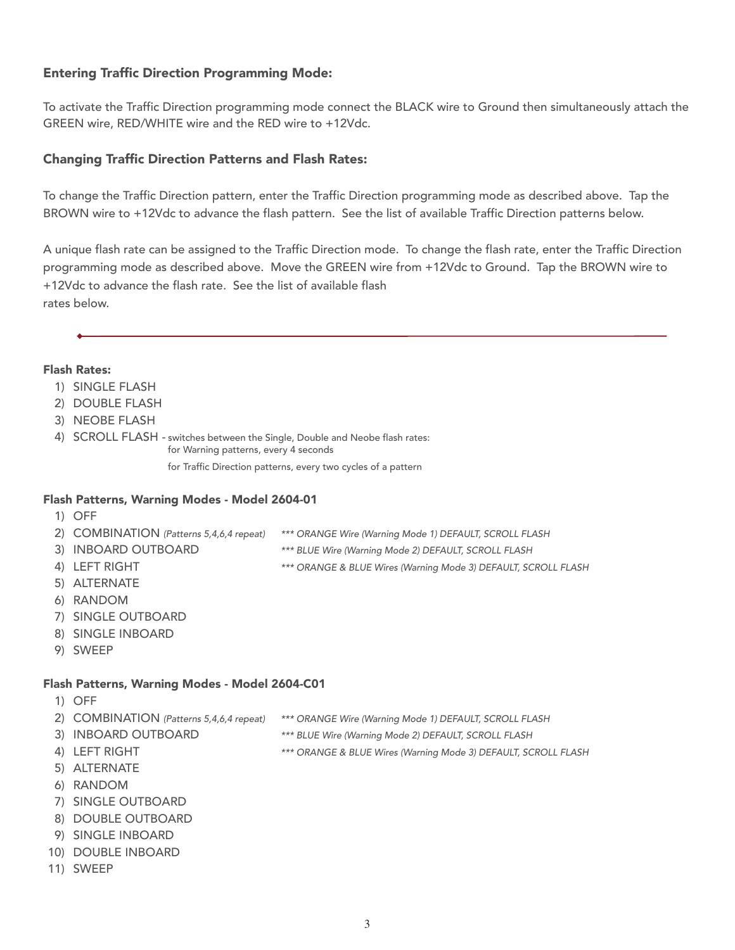# Entering Traffic Direction Programming Mode:

To activate the Traffic Direction programming mode connect the BLACK wire to Ground then simultaneously attach the GREEN wire, RED/WHITE wire and the RED wire to +12Vdc.

### Changing Traffic Direction Patterns and Flash Rates:

To change the Traffic Direction pattern, enter the Traffic Direction programming mode as described above. Tap the BROWN wire to +12Vdc to advance the flash pattern. See the list of available Traffic Direction patterns below.

A unique flash rate can be assigned to the Traffic Direction mode. To change the flash rate, enter the Traffic Direction programming mode as described above. Move the GREEN wire from +12Vdc to Ground. Tap the BROWN wire to +12Vdc to advance the flash rate. See the list of available flash rates below.

#### Flash Rates:

- 1) SINGLE FLASH
- 2) DOUBLE FLASH
- 3) NEOBE FLASH
- 4) SCROLL FLASH switches between the Single, Double and Neobe flash rates: for Warning patterns, every 4 seconds

for Traffic Direction patterns, every two cycles of a pattern

#### Flash Patterns, Warning Modes - Model 2604-01

- 1) OFF
- 2) COMBINATION (Patterns 5,4,6,4 repeat) \*\*\* ORANGE Wire (Warning Mode 1) DEFAULT, SCROLL FLASH
- 
- 3) INBOARD OUTBOARD \*\*\* BLUE Wire (Warning Mode 2) DEFAULT, SCROLL FLASH
- 4) LEFT RIGHT \*\*\* ORANGE & BLUE Wires (Warning Mode 3) DEFAULT, SCROLL FLASH
- 5) ALTERNATE
- 6) RANDOM
- 7) SINGLE OUTBOARD
- 8) SINGLE INBOARD
- 9) SWEEP

#### Flash Patterns, Warning Modes - Model 2604-C01

- 1) OFF
- 2) COMBINATION (Patterns 5,4,6,4 repeat) \*\*\* ORANGE Wire (Warning Mode 1) DEFAULT, SCROLL FLASH
- 3) INBOARD OUTBOARD \*\*\* BLUE Wire (Warning Mode 2) DEFAULT, SCROLL FLASH
- 4) LEFT RIGHT **EXECUTE:** \*\*\* ORANGE & BLUE Wires (Warning Mode 3) DEFAULT, SCROLL FLASH
- 5) ALTERNATE
- 6) RANDOM
- 7) SINGLE OUTBOARD
- 8) DOUBLE OUTBOARD
- 9) SINGLE INBOARD
- 10) DOUBLE INBOARD
- 11) SWEEP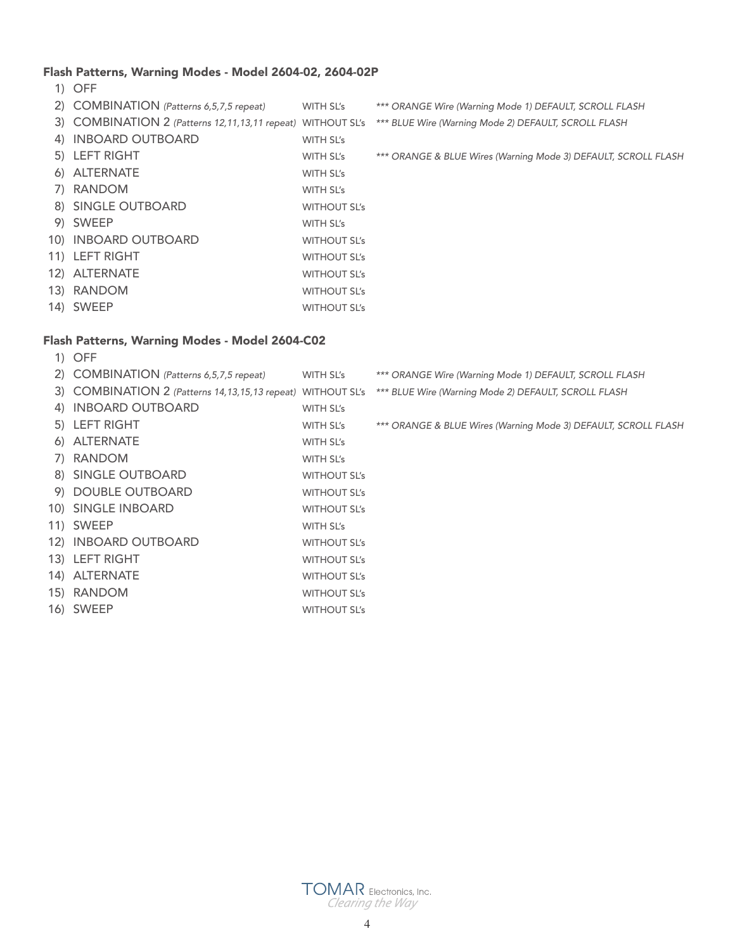# Flash Patterns, Warning Modes - Model 2604-02, 2604-02P

1) OFF

| 2) COMBINATION (Patterns 6,5,7,5 repeat)                    | WITH SL's           | *** ORANGE Wire (Warning Mode 1) DEFAULT, SCROLL FLASH         |
|-------------------------------------------------------------|---------------------|----------------------------------------------------------------|
| 3) COMBINATION 2 (Patterns 12,11,13,11 repeat) WITHOUT SL's |                     | *** BLUE Wire (Warning Mode 2) DEFAULT, SCROLL FLASH           |
| 4) INBOARD OUTBOARD                                         | WITH SL's           |                                                                |
| 5) LEFT RIGHT                                               | WITH SL's           | *** ORANGE & BLUE Wires (Warning Mode 3) DEFAULT, SCROLL FLASH |
| 6) ALTERNATE                                                | WITH SL's           |                                                                |
| 7) RANDOM                                                   | WITH SL's           |                                                                |
| 8) SINGLE OUTBOARD                                          | <b>WITHOUT SL's</b> |                                                                |
| 9) SWEEP                                                    | WITH SL's           |                                                                |
| 10) INBOARD OUTBOARD                                        | <b>WITHOUT SL's</b> |                                                                |
| 11) LEFT RIGHT                                              | <b>WITHOUT SL's</b> |                                                                |
| 12) ALTERNATE                                               | <b>WITHOUT SL's</b> |                                                                |
| 13) RANDOM                                                  | <b>WITHOUT SL's</b> |                                                                |
| 14) SWEEP                                                   | <b>WITHOUT SL's</b> |                                                                |
|                                                             |                     |                                                                |

# Flash Patterns, Warning Modes - Model 2604-C02

| $1)$ OFF                                                       |                     |                                                                |
|----------------------------------------------------------------|---------------------|----------------------------------------------------------------|
| 2) COMBINATION (Patterns 6,5,7,5 repeat)                       | WITH SL's           | *** ORANGE Wire (Warning Mode 1) DEFAULT, SCROLL FLASH         |
| 3) COMBINATION 2 (Patterns 14, 13, 15, 13 repeat) WITHOUT SL's |                     | *** BLUE Wire (Warning Mode 2) DEFAULT, SCROLL FLASH           |
| 4) INBOARD OUTBOARD                                            | WITH SL's           |                                                                |
| 5) LEFT RIGHT                                                  | WITH SL's           | *** ORANGE & BLUE Wires (Warning Mode 3) DEFAULT, SCROLL FLASH |
| 6) ALTERNATE                                                   | WITH SL's           |                                                                |
| 7) RANDOM                                                      | WITH SL's           |                                                                |
| 8) SINGLE OUTBOARD                                             | <b>WITHOUT SL's</b> |                                                                |
| 9) DOUBLE OUTBOARD                                             | <b>WITHOUT SL's</b> |                                                                |
| 10) SINGLE INBOARD                                             | <b>WITHOUT SL's</b> |                                                                |
| 11) SWEEP                                                      | WITH SL's           |                                                                |
| 12) INBOARD OUTBOARD                                           | <b>WITHOUT SL's</b> |                                                                |
| 13) LEFT RIGHT                                                 | <b>WITHOUT SL's</b> |                                                                |
| 14) ALTERNATE                                                  | <b>WITHOUT SL's</b> |                                                                |
| 15) RANDOM                                                     | <b>WITHOUT SL's</b> |                                                                |
| 16) SWEEP                                                      | <b>WITHOUT SL's</b> |                                                                |
|                                                                |                     |                                                                |